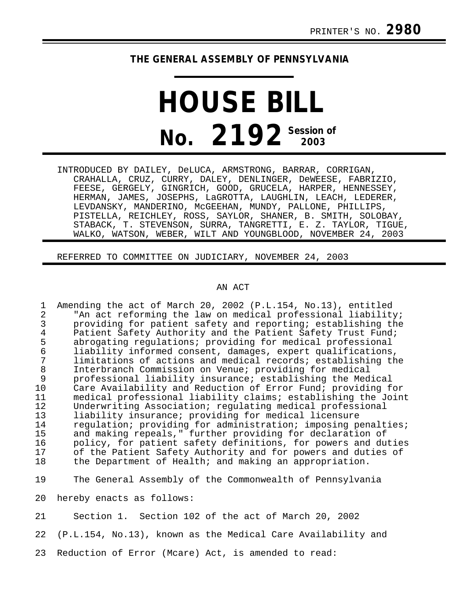## **THE GENERAL ASSEMBLY OF PENNSYLVANIA**

## **HOUSE BILL No. 2192 Session of**

INTRODUCED BY DAILEY, DeLUCA, ARMSTRONG, BARRAR, CORRIGAN, CRAHALLA, CRUZ, CURRY, DALEY, DENLINGER, DeWEESE, FABRIZIO, FEESE, GERGELY, GINGRICH, GOOD, GRUCELA, HARPER, HENNESSEY, HERMAN, JAMES, JOSEPHS, LaGROTTA, LAUGHLIN, LEACH, LEDERER, LEVDANSKY, MANDERINO, McGEEHAN, MUNDY, PALLONE, PHILLIPS, PISTELLA, REICHLEY, ROSS, SAYLOR, SHANER, B. SMITH, SOLOBAY, STABACK, T. STEVENSON, SURRA, TANGRETTI, E. Z. TAYLOR, TIGUE, WALKO, WATSON, WEBER, WILT AND YOUNGBLOOD, NOVEMBER 24, 2003

REFERRED TO COMMITTEE ON JUDICIARY, NOVEMBER 24, 2003

## AN ACT

1 Amending the act of March 20, 2002 (P.L.154, No.13), entitled 2 The act reforming the law on medical professional liability;<br>3 The providing for patient safety and reporting; establishing the 3 providing for patient safety and reporting; establishing the<br>4 Patient Safety Authority and the Patient Safety Trust Fund; 4 Patient Safety Authority and the Patient Safety Trust Fund;<br>5 abrogating regulations; providing for medical professional 5 abrogating regulations; providing for medical professional 6 liability informed consent, damages, expert qualifications, 7 limitations of actions and medical records; establishing the<br>8 Interbranch Commission on Venue; providing for medical 8 Interbranch Commission on Venue; providing for medical<br>9 professional liability insurance; establishing the Med 9 professional liability insurance; establishing the Medical<br>10 Care Availability and Reduction of Error Fund; providing f Care Availability and Reduction of Error Fund; providing for 11 medical professional liability claims; establishing the Joint<br>12 Underwriting Association; regulating medical professional 12 Underwriting Association; regulating medical professional 13 liability insurance; providing for medical licensure<br>14 requlation; providing for administration; imposing po 14 regulation; providing for administration; imposing penalties;<br>15 and making repeals," further providing for declaration of 15 and making repeals," further providing for declaration of<br>16 bolicy, for patient safety definitions, for powers and du 16 policy, for patient safety definitions, for powers and duties<br>17 of the Patient Safety Authority and for powers and duties of 17 of the Patient Safety Authority and for powers and duties of<br>18 the Department of Health; and making an appropriation. the Department of Health; and making an appropriation.

19 The General Assembly of the Commonwealth of Pennsylvania

20 hereby enacts as follows:

21 Section 1. Section 102 of the act of March 20, 2002

22 (P.L.154, No.13), known as the Medical Care Availability and

23 Reduction of Error (Mcare) Act, is amended to read: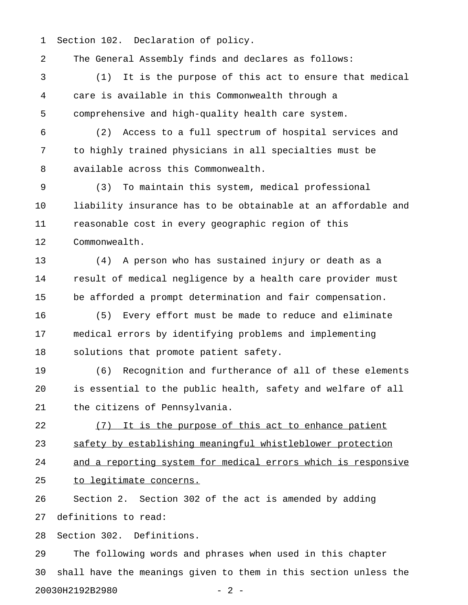1 Section 102. Declaration of policy.

2 The General Assembly finds and declares as follows:

3 (1) It is the purpose of this act to ensure that medical 4 care is available in this Commonwealth through a 5 comprehensive and high-quality health care system.

6 (2) Access to a full spectrum of hospital services and 7 to highly trained physicians in all specialties must be 8 available across this Commonwealth.

9 (3) To maintain this system, medical professional 10 liability insurance has to be obtainable at an affordable and 11 reasonable cost in every geographic region of this 12 Commonwealth.

13 (4) A person who has sustained injury or death as a 14 result of medical negligence by a health care provider must 15 be afforded a prompt determination and fair compensation.

16 (5) Every effort must be made to reduce and eliminate 17 medical errors by identifying problems and implementing 18 solutions that promote patient safety.

19 (6) Recognition and furtherance of all of these elements 20 is essential to the public health, safety and welfare of all 21 the citizens of Pennsylvania.

22 (7) It is the purpose of this act to enhance patient 23 safety by establishing meaningful whistleblower protection 24 and a reporting system for medical errors which is responsive 25 to legitimate concerns.

26 Section 2. Section 302 of the act is amended by adding 27 definitions to read:

28 Section 302. Definitions.

29 The following words and phrases when used in this chapter 30 shall have the meanings given to them in this section unless the 20030H2192B2980 - 2 -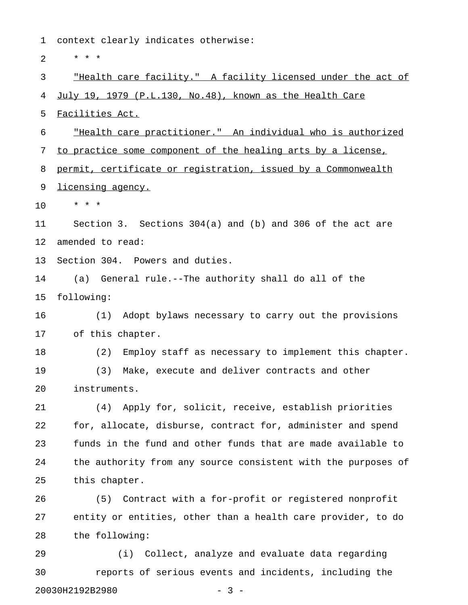1 context clearly indicates otherwise: 2  $* * * *$ 3 "Health care facility." A facility licensed under the act of \_\_\_\_\_\_\_\_\_\_\_\_\_\_\_\_\_\_\_\_\_\_\_\_\_\_\_\_\_\_\_\_\_\_\_\_\_\_\_\_\_\_\_\_\_\_\_\_\_\_\_\_\_\_\_\_\_\_\_\_\_ 4 July 19, 1979 (P.L.130, No.48), known as the Health Care 5 Facilities Act. 6 Thealth care practitioner." An individual who is authorized 7 to practice some component of the healing arts by a license, 8 permit, certificate or registration, issued by a Commonwealth 9 licensing agency. 10 \* \* \* 11 Section 3. Sections 304(a) and (b) and 306 of the act are 12 amended to read: 13 Section 304. Powers and duties. 14 (a) General rule.--The authority shall do all of the 15 following: 16 (1) Adopt bylaws necessary to carry out the provisions 17 of this chapter. 18 (2) Employ staff as necessary to implement this chapter. 19 (3) Make, execute and deliver contracts and other 20 instruments. 21 (4) Apply for, solicit, receive, establish priorities 22 for, allocate, disburse, contract for, administer and spend 23 funds in the fund and other funds that are made available to 24 the authority from any source consistent with the purposes of 25 this chapter. 26 (5) Contract with a for-profit or registered nonprofit 27 entity or entities, other than a health care provider, to do 28 the following: 29 (i) Collect, analyze and evaluate data regarding

30 reports of serious events and incidents, including the 20030H2192B2980 - 3 -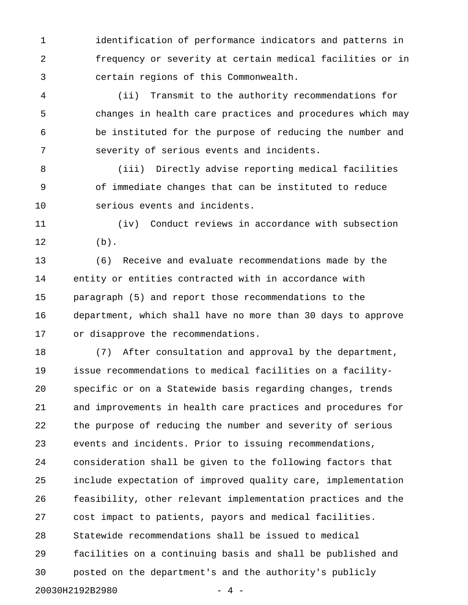1 identification of performance indicators and patterns in 2 frequency or severity at certain medical facilities or in 3 certain regions of this Commonwealth.

4 (ii) Transmit to the authority recommendations for 5 changes in health care practices and procedures which may 6 be instituted for the purpose of reducing the number and 7 severity of serious events and incidents.

8 (iii) Directly advise reporting medical facilities 9 of immediate changes that can be instituted to reduce 10 serious events and incidents.

11 (iv) Conduct reviews in accordance with subsection 12 (b).

13 (6) Receive and evaluate recommendations made by the 14 entity or entities contracted with in accordance with 15 paragraph (5) and report those recommendations to the 16 department, which shall have no more than 30 days to approve 17 or disapprove the recommendations.

18 (7) After consultation and approval by the department, 19 issue recommendations to medical facilities on a facility-20 specific or on a Statewide basis regarding changes, trends 21 and improvements in health care practices and procedures for 22 the purpose of reducing the number and severity of serious 23 events and incidents. Prior to issuing recommendations, 24 consideration shall be given to the following factors that 25 include expectation of improved quality care, implementation 26 feasibility, other relevant implementation practices and the 27 cost impact to patients, payors and medical facilities. 28 Statewide recommendations shall be issued to medical 29 facilities on a continuing basis and shall be published and 30 posted on the department's and the authority's publicly 20030H2192B2980 - 4 -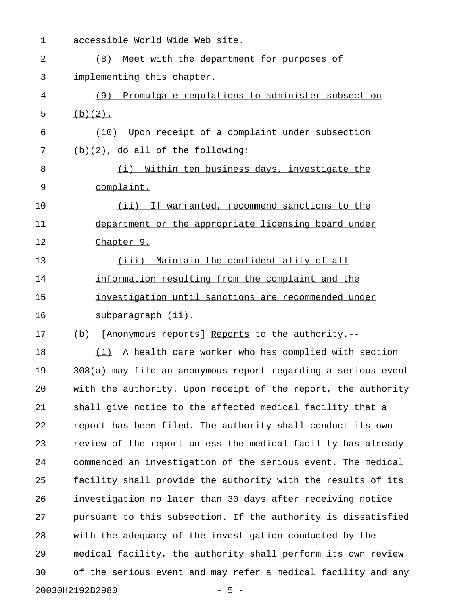1 accessible World Wide Web site. 2 (8) Meet with the department for purposes of 3 implementing this chapter. 4 (9) Promulgate regulations to administer subsection 5 (b)(2). 6 (10) Upon receipt of a complaint under subsection 7 (b)(2), do all of the following: 8 (i) Within ten business days, investigate the 9 complaint. 10 (ii) If warranted, recommend sanctions to the 11 department or the appropriate licensing board under 12 Chapter 9. 13 (iii) Maintain the confidentiality of all 14 information resulting from the complaint and the 15 investigation until sanctions are recommended under \_\_\_\_\_\_\_\_\_\_\_\_\_\_\_\_\_\_\_\_\_\_\_\_\_\_\_\_\_\_\_\_\_\_\_\_\_\_\_\_\_\_\_\_\_\_\_\_\_\_\_ 16 subparagraph (ii). 17 (b) [Anonymous reports] Reports to the authority.--18  $(1)$  A health care worker who has complied with section 19 308(a) may file an anonymous report regarding a serious event 20 with the authority. Upon receipt of the report, the authority 21 shall give notice to the affected medical facility that a 22 report has been filed. The authority shall conduct its own 23 review of the report unless the medical facility has already 24 commenced an investigation of the serious event. The medical 25 facility shall provide the authority with the results of its 26 investigation no later than 30 days after receiving notice 27 pursuant to this subsection. If the authority is dissatisfied 28 with the adequacy of the investigation conducted by the 29 medical facility, the authority shall perform its own review 30 of the serious event and may refer a medical facility and any

20030H2192B2980 - 5 -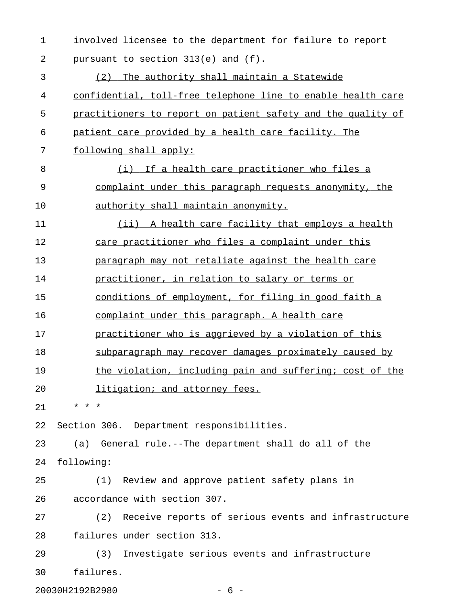| $\mathbf 1$    | involved licensee to the department for failure to report    |
|----------------|--------------------------------------------------------------|
| $\overline{2}$ | pursuant to section 313(e) and (f).                          |
| 3              | (2) The authority shall maintain a Statewide                 |
| 4              | confidential, toll-free telephone line to enable health care |
| 5              | practitioners to report on patient safety and the quality of |
| 6              | patient care provided by a health care facility. The         |
| 7              | following shall apply:                                       |
| 8              | (i) If a health care practitioner who files a                |
| 9              | complaint under this paragraph requests anonymity, the       |
| 10             | authority shall maintain anonymity.                          |
| 11             | (ii) A health care facility that employs a health            |
| 12             | care practitioner who files a complaint under this           |
| 13             | paragraph may not retaliate against the health care          |
| 14             | practitioner, in relation to salary or terms or              |
| 15             | conditions of employment, for filing in good faith a         |
| 16             | complaint under this paragraph. A health care                |
| 17             | practitioner who is aggrieved by a violation of this         |
| 18             | subparagraph may recover damages proximately caused by       |
| 19             | the violation, including pain and suffering; cost of the     |
| 20             | litigation; and attorney fees.                               |
| 21             | * * *                                                        |
| 22             | Section 306. Department responsibilities.                    |
| 23             | (a) General rule.--The department shall do all of the        |
| 24             | following:                                                   |
| 25             | (1) Review and approve patient safety plans in               |
| 26             | accordance with section 307.                                 |
| 27             | (2) Receive reports of serious events and infrastructure     |
| 28             | failures under section 313.                                  |
| 29             | (3) Investigate serious events and infrastructure            |
| 30             | failures.                                                    |

20030H2192B2980 - 6 -